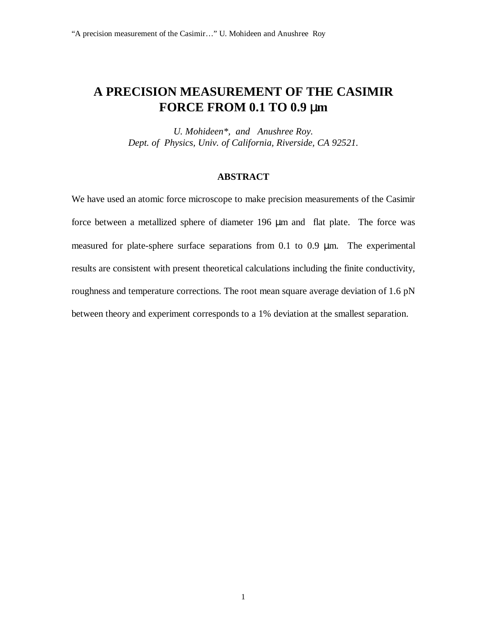## **A PRECISION MEASUREMENT OF THE CASIMIR FORCE FROM 0.1 TO 0.9** µ**m**

*U. Mohideen\*, and Anushree Roy. Dept. of Physics, Univ. of California, Riverside, CA 92521.*

## **ABSTRACT**

We have used an atomic force microscope to make precision measurements of the Casimir force between a metallized sphere of diameter 196 µm and flat plate. The force was measured for plate-sphere surface separations from 0.1 to 0.9 µm. The experimental results are consistent with present theoretical calculations including the finite conductivity, roughness and temperature corrections. The root mean square average deviation of 1.6 pN between theory and experiment corresponds to a 1% deviation at the smallest separation.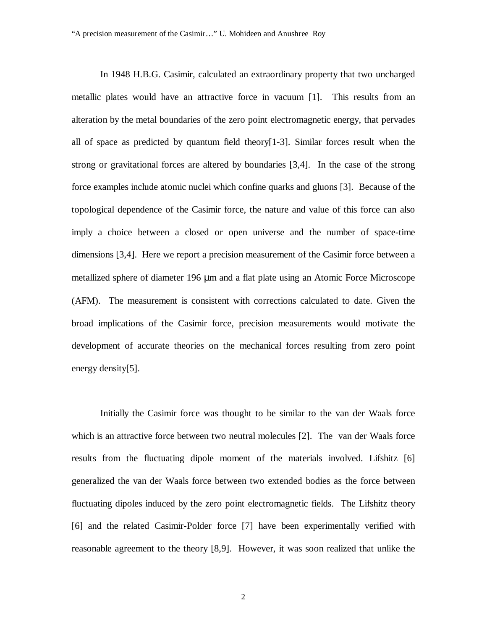In 1948 H.B.G. Casimir, calculated an extraordinary property that two uncharged metallic plates would have an attractive force in vacuum [1]. This results from an alteration by the metal boundaries of the zero point electromagnetic energy, that pervades all of space as predicted by quantum field theory[1-3]. Similar forces result when the strong or gravitational forces are altered by boundaries [3,4]. In the case of the strong force examples include atomic nuclei which confine quarks and gluons [3]. Because of the topological dependence of the Casimir force, the nature and value of this force can also imply a choice between a closed or open universe and the number of space-time dimensions [3,4]. Here we report a precision measurement of the Casimir force between a metallized sphere of diameter 196 µm and a flat plate using an Atomic Force Microscope (AFM). The measurement is consistent with corrections calculated to date. Given the broad implications of the Casimir force, precision measurements would motivate the development of accurate theories on the mechanical forces resulting from zero point energy density[5].

Initially the Casimir force was thought to be similar to the van der Waals force which is an attractive force between two neutral molecules [2]. The van der Waals force results from the fluctuating dipole moment of the materials involved. Lifshitz [6] generalized the van der Waals force between two extended bodies as the force between fluctuating dipoles induced by the zero point electromagnetic fields. The Lifshitz theory [6] and the related Casimir-Polder force [7] have been experimentally verified with reasonable agreement to the theory [8,9]. However, it was soon realized that unlike the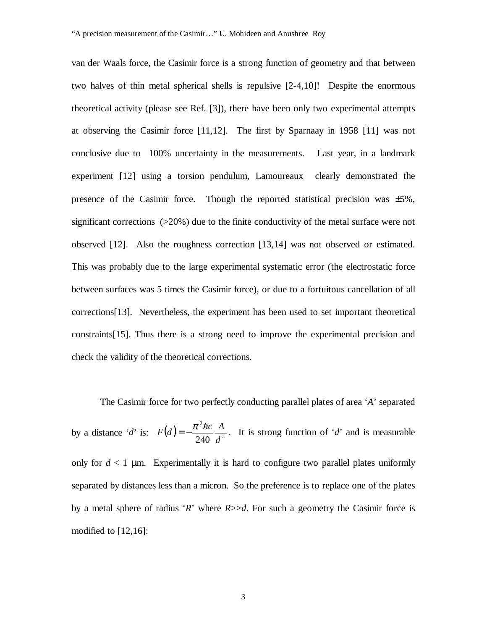van der Waals force, the Casimir force is a strong function of geometry and that between two halves of thin metal spherical shells is repulsive [2-4,10]! Despite the enormous theoretical activity (please see Ref. [3]), there have been only two experimental attempts at observing the Casimir force [11,12]. The first by Sparnaay in 1958 [11] was not conclusive due to 100% uncertainty in the measurements. Last year, in a landmark experiment [12] using a torsion pendulum, Lamoureaux clearly demonstrated the presence of the Casimir force. Though the reported statistical precision was  $\pm 5\%$ , significant corrections (>20%) due to the finite conductivity of the metal surface were not observed [12]. Also the roughness correction [13,14] was not observed or estimated. This was probably due to the large experimental systematic error (the electrostatic force between surfaces was 5 times the Casimir force), or due to a fortuitous cancellation of all corrections[13]. Nevertheless, the experiment has been used to set important theoretical constraints[15]. Thus there is a strong need to improve the experimental precision and check the validity of the theoretical corrections.

The Casimir force for two perfectly conducting parallel plates of area '*A*' separated by a distance '*d*' is:  $F(d) = -\frac{\hbar^2}{240} \frac{A}{d^4}$ 2 240 *d*  $F(d) = -\frac{\pi^2 \hbar c}{24} \frac{A}{d}$ . It is strong function of '*d*' and is measurable only for  $d < 1$  µm. Experimentally it is hard to configure two parallel plates uniformly separated by distances less than a micron. So the preference is to replace one of the plates by a metal sphere of radius '*R*' where  $R \geq d$ . For such a geometry the Casimir force is modified to  $[12,16]$ :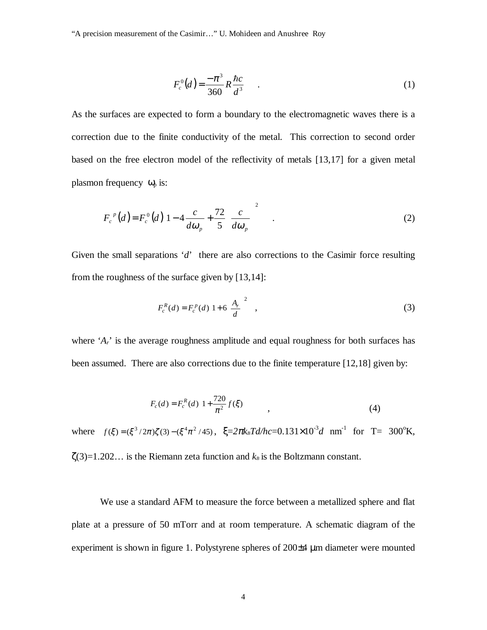"A precision measurement of the Casimir…" U. Mohideen and Anushree Roy

$$
F_c^0(d) = \frac{-\pi^3}{360} R \frac{\hbar c}{d^3} .
$$
 (1)

As the surfaces are expected to form a boundary to the electromagnetic waves there is a correction due to the finite conductivity of the metal. This correction to second order based on the free electron model of the reflectivity of metals [13,17] for a given metal plasmon frequency  $\omega_{p}$  is:

$$
F_c^{\ p}(d) = F_c^0(d) \left[ 1 - 4 \frac{c}{d\omega_p} + \frac{72}{5} \left( \frac{c}{d\omega_p} \right)^2 \right] \quad . \tag{2}
$$

Given the small separations '*d*' there are also corrections to the Casimir force resulting from the roughness of the surface given by [13,14]:

$$
F_c^R(d) = F_c^P(d) \left[ 1 + 6 \left( \frac{A_r}{d} \right)^2 \right],
$$
\n(3)

where '*A<sub>r</sub>*' is the average roughness amplitude and equal roughness for both surfaces has been assumed. There are also corrections due to the finite temperature [12,18] given by:

$$
F_c(d) = F_c^R(d) \left( 1 + \frac{720}{\pi^2} f(\xi) \right) , \qquad (4)
$$

where  $f(\xi) = (\xi^3 / 2\pi)\zeta(3) - (\xi^4 \pi^2 / 45)$ ,  $\xi = 2\pi k_B T d/hc = 0.131 \times 10^{-3} d$  nm<sup>-1</sup> for T= 300°K,  $\zeta(3)=1.202...$  is the Riemann zeta function and  $k_B$  is the Boltzmann constant.

We use a standard AFM to measure the force between a metallized sphere and flat plate at a pressure of 50 mTorr and at room temperature. A schematic diagram of the experiment is shown in figure 1. Polystyrene spheres of 200±4 µm diameter were mounted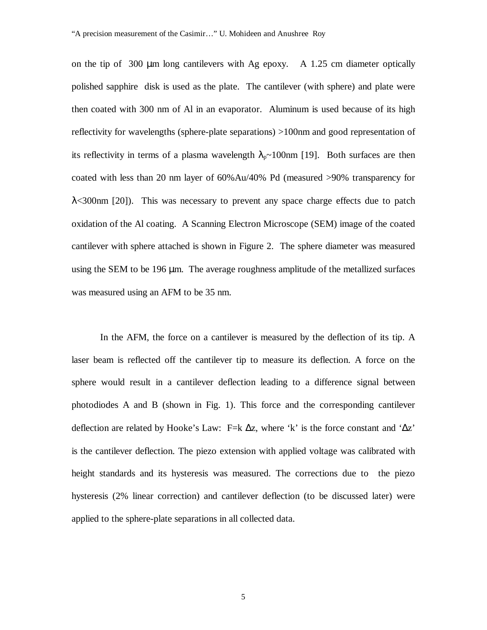on the tip of 300 µm long cantilevers with Ag epoxy. A 1.25 cm diameter optically polished sapphire disk is used as the plate. The cantilever (with sphere) and plate were then coated with 300 nm of Al in an evaporator. Aluminum is used because of its high reflectivity for wavelengths (sphere-plate separations) >100nm and good representation of its reflectivity in terms of a plasma wavelength  $\lambda_p \sim 100$ nm [19]. Both surfaces are then coated with less than 20 nm layer of 60%Au/40% Pd (measured >90% transparency for λ<300nm [20]). This was necessary to prevent any space charge effects due to patch oxidation of the Al coating. A Scanning Electron Microscope (SEM) image of the coated cantilever with sphere attached is shown in Figure 2. The sphere diameter was measured using the SEM to be 196 µm. The average roughness amplitude of the metallized surfaces was measured using an AFM to be 35 nm.

In the AFM, the force on a cantilever is measured by the deflection of its tip. A laser beam is reflected off the cantilever tip to measure its deflection. A force on the sphere would result in a cantilever deflection leading to a difference signal between photodiodes A and B (shown in Fig. 1). This force and the corresponding cantilever deflection are related by Hooke's Law: F=k  $\Delta z$ , where 'k' is the force constant and ' $\Delta z$ ' is the cantilever deflection. The piezo extension with applied voltage was calibrated with height standards and its hysteresis was measured. The corrections due to the piezo hysteresis (2% linear correction) and cantilever deflection (to be discussed later) were applied to the sphere-plate separations in all collected data.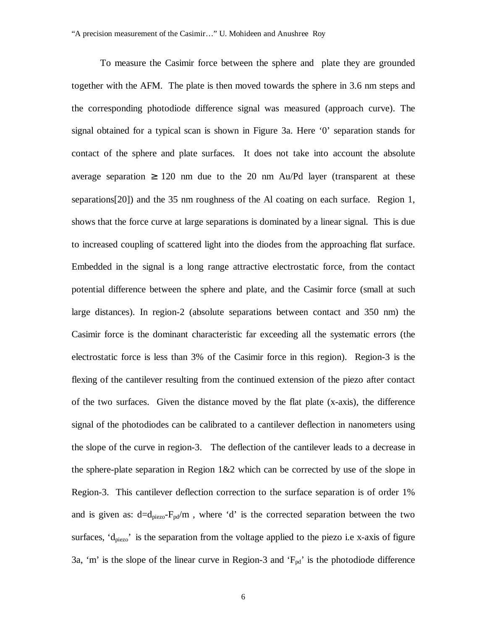To measure the Casimir force between the sphere and plate they are grounded together with the AFM. The plate is then moved towards the sphere in 3.6 nm steps and the corresponding photodiode difference signal was measured (approach curve). The signal obtained for a typical scan is shown in Figure 3a. Here '0' separation stands for contact of the sphere and plate surfaces. It does not take into account the absolute average separation  $\geq 120$  nm due to the 20 nm Au/Pd layer (transparent at these separations[20]) and the 35 nm roughness of the Al coating on each surface. Region 1, shows that the force curve at large separations is dominated by a linear signal. This is due to increased coupling of scattered light into the diodes from the approaching flat surface. Embedded in the signal is a long range attractive electrostatic force, from the contact potential difference between the sphere and plate, and the Casimir force (small at such large distances). In region-2 (absolute separations between contact and 350 nm) the Casimir force is the dominant characteristic far exceeding all the systematic errors (the electrostatic force is less than 3% of the Casimir force in this region). Region-3 is the flexing of the cantilever resulting from the continued extension of the piezo after contact of the two surfaces. Given the distance moved by the flat plate (x-axis), the difference signal of the photodiodes can be calibrated to a cantilever deflection in nanometers using the slope of the curve in region-3. The deflection of the cantilever leads to a decrease in the sphere-plate separation in Region  $1\&2$  which can be corrected by use of the slope in Region-3. This cantilever deflection correction to the surface separation is of order 1% and is given as:  $d=d_{piezo}-F_{pd}/m$ , where 'd' is the corrected separation between the two surfaces,  $d_{piezo}$  is the separation from the voltage applied to the piezo i.e x-axis of figure 3a, 'm' is the slope of the linear curve in Region-3 and  $F_{pd}$ ' is the photodiode difference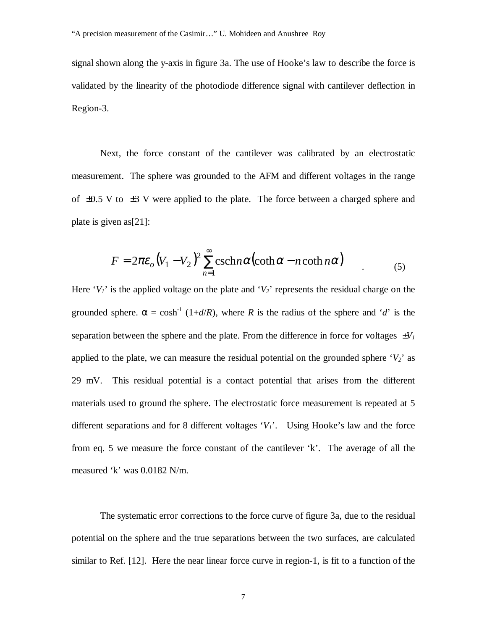signal shown along the y-axis in figure 3a. The use of Hooke's law to describe the force is validated by the linearity of the photodiode difference signal with cantilever deflection in Region-3.

Next, the force constant of the cantilever was calibrated by an electrostatic measurement. The sphere was grounded to the AFM and different voltages in the range of  $\pm 0.5$  V to  $\pm 3$  V were applied to the plate. The force between a charged sphere and plate is given as[21]:

$$
F = 2\pi\varepsilon_o (V_1 - V_2)^2 \sum_{n=1}^{\infty} \operatorname{csch} n\alpha (\coth \alpha - n \coth n\alpha) \tag{5}
$$

Here ' $V_I$ ' is the applied voltage on the plate and ' $V_2$ ' represents the residual charge on the grounded sphere.  $\alpha = \cosh^{-1}(1+d/R)$ , where *R* is the radius of the sphere and '*d*' is the separation between the sphere and the plate. From the difference in force for voltages  $\pm V_I$ applied to the plate, we can measure the residual potential on the grounded sphere  $V_2$ <sup>'</sup> as 29 mV. This residual potential is a contact potential that arises from the different materials used to ground the sphere. The electrostatic force measurement is repeated at 5 different separations and for 8 different voltages  $V_i$ <sup>'</sup>. Using Hooke's law and the force from eq. 5 we measure the force constant of the cantilever 'k'. The average of all the measured 'k' was 0.0182 N/m.

The systematic error corrections to the force curve of figure 3a, due to the residual potential on the sphere and the true separations between the two surfaces, are calculated similar to Ref. [12]. Here the near linear force curve in region-1, is fit to a function of the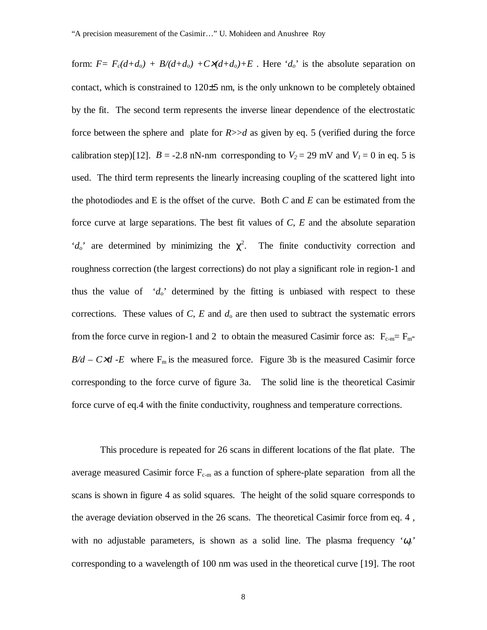form:  $F = F_c(d+d_o) + B/(d+d_o) + C\lambda(d+d_o) + E$ . Here 'd<sub>o</sub>' is the absolute separation on contact, which is constrained to 120±5 nm, is the only unknown to be completely obtained by the fit. The second term represents the inverse linear dependence of the electrostatic force between the sphere and plate for  $R$  $>$  $>d$  as given by eq. 5 (verified during the force calibration step)[12].  $B = -2.8$  nN-nm corresponding to  $V_2 = 29$  mV and  $V_1 = 0$  in eq. 5 is used. The third term represents the linearly increasing coupling of the scattered light into the photodiodes and E is the offset of the curve. Both *C* and *E* can be estimated from the force curve at large separations. The best fit values of *C*, *E* and the absolute separation ' $d_o$ ' are determined by minimizing the  $\chi^2$ . The finite conductivity correction and roughness correction (the largest corrections) do not play a significant role in region-1 and thus the value of  $d_o$ <sup>t</sup> determined by the fitting is unbiased with respect to these corrections. These values of  $C$ ,  $E$  and  $d_0$  are then used to subtract the systematic errors from the force curve in region-1 and 2 to obtain the measured Casimir force as:  $F_{c-m}=F_{m}$ - $B/d - C \times d$  -*E* where F<sub>m</sub> is the measured force. Figure 3b is the measured Casimir force corresponding to the force curve of figure 3a. The solid line is the theoretical Casimir force curve of eq.4 with the finite conductivity, roughness and temperature corrections.

This procedure is repeated for 26 scans in different locations of the flat plate. The average measured Casimir force  $F_{c-m}$  as a function of sphere-plate separation from all the scans is shown in figure 4 as solid squares. The height of the solid square corresponds to the average deviation observed in the 26 scans. The theoretical Casimir force from eq. 4 , with no adjustable parameters, is shown as a solid line. The plasma frequency *'*<sup>ω</sup>*p'* corresponding to a wavelength of 100 nm was used in the theoretical curve [19]. The root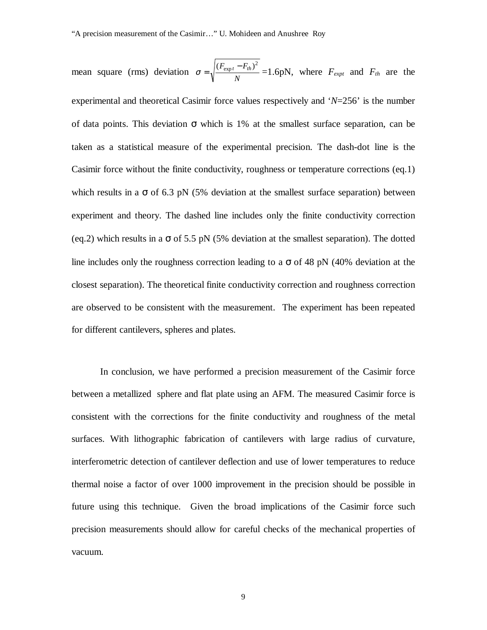mean square (rms) deviation  $\sigma = \sqrt{\frac{V \exp t}{N}}$  $\sigma = \sqrt{\frac{(F_{\text{expt}} - F_{th})^2}{V}} = 1.6 \text{pN}$ , where  $F_{\text{expt}}$  and  $F_{\text{th}}$  are the experimental and theoretical Casimir force values respectively and '*N*=256' is the number of data points. This deviation  $\sigma$  which is 1% at the smallest surface separation, can be taken as a statistical measure of the experimental precision. The dash-dot line is the Casimir force without the finite conductivity, roughness or temperature corrections (eq.1) which results in a  $\sigma$  of 6.3 pN (5% deviation at the smallest surface separation) between experiment and theory. The dashed line includes only the finite conductivity correction (eq.2) which results in a  $\sigma$  of 5.5 pN (5% deviation at the smallest separation). The dotted line includes only the roughness correction leading to a  $\sigma$  of 48 pN (40% deviation at the closest separation). The theoretical finite conductivity correction and roughness correction are observed to be consistent with the measurement. The experiment has been repeated for different cantilevers, spheres and plates.

In conclusion, we have performed a precision measurement of the Casimir force between a metallized sphere and flat plate using an AFM. The measured Casimir force is consistent with the corrections for the finite conductivity and roughness of the metal surfaces. With lithographic fabrication of cantilevers with large radius of curvature, interferometric detection of cantilever deflection and use of lower temperatures to reduce thermal noise a factor of over 1000 improvement in the precision should be possible in future using this technique. Given the broad implications of the Casimir force such precision measurements should allow for careful checks of the mechanical properties of vacuum.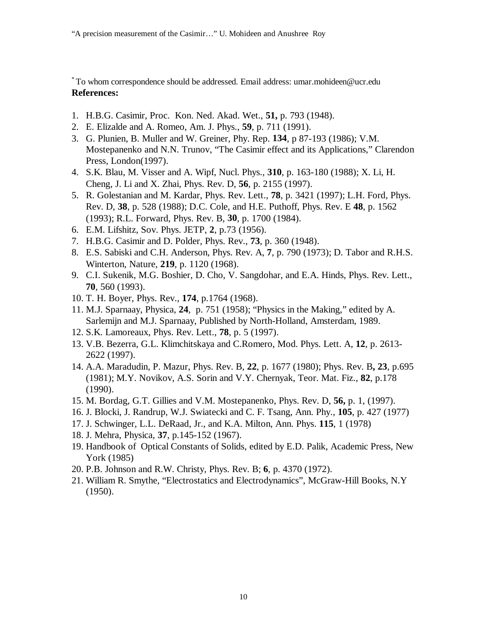\* To whom correspondence should be addressed. Email address: umar.mohideen@ucr.edu **References:**

- 1. H.B.G. Casimir, Proc. Kon. Ned. Akad. Wet., **51,** p. 793 (1948).
- 2. E. Elizalde and A. Romeo, Am. J. Phys., **59**, p. 711 (1991).
- 3. G. Plunien, B. Muller and W. Greiner, Phy. Rep. **134**, p 87-193 (1986); V.M. Mostepanenko and N.N. Trunov, "The Casimir effect and its Applications," Clarendon Press, London(1997).
- 4. S.K. Blau, M. Visser and A. Wipf, Nucl. Phys., **310**, p. 163-180 (1988); X. Li, H. Cheng, J. Li and X. Zhai, Phys. Rev. D, **56**, p. 2155 (1997).
- 5. R. Golestanian and M. Kardar, Phys. Rev. Lett., **78**, p. 3421 (1997); L.H. Ford, Phys. Rev. D, **38**, p. 528 (1988); D.C. Cole, and H.E. Puthoff, Phys. Rev. E **48**, p. 1562 (1993); R.L. Forward, Phys. Rev. B, **30**, p. 1700 (1984).
- 6. E.M. Lifshitz, Sov. Phys. JETP, **2**, p.73 (1956).
- 7. H.B.G. Casimir and D. Polder, Phys. Rev., **73**, p. 360 (1948).
- 8. E.S. Sabiski and C.H. Anderson, Phys. Rev. A, **7**, p. 790 (1973); D. Tabor and R.H.S. Winterton, Nature, **219**, p. 1120 (1968).
- 9. C.I. Sukenik, M.G. Boshier, D. Cho, V. Sangdohar, and E.A. Hinds, Phys. Rev. Lett., **70**, 560 (1993).
- 10. T. H. Boyer, Phys. Rev., **174**, p.1764 (1968).
- 11. M.J. Sparnaay, Physica, **24**, p. 751 (1958); "Physics in the Making," edited by A. Sarlemijn and M.J. Sparnaay, Published by North-Holland, Amsterdam, 1989.
- 12. S.K. Lamoreaux, Phys. Rev. Lett., **78**, p. 5 (1997).
- 13. V.B. Bezerra, G.L. Klimchitskaya and C.Romero, Mod. Phys. Lett. A, **12**, p. 2613- 2622 (1997).
- 14. A.A. Maradudin, P. Mazur, Phys. Rev. B, **22**, p. 1677 (1980); Phys. Rev. B**, 23**, p.695 (1981); M.Y. Novikov, A.S. Sorin and V.Y. Chernyak, Teor. Mat. Fiz., **82**, p.178 (1990).
- 15. M. Bordag, G.T. Gillies and V.M. Mostepanenko, Phys. Rev. D, **56,** p. 1, (1997).
- 16. J. Blocki, J. Randrup, W.J. Swiatecki and C. F. Tsang, Ann. Phy., **105**, p. 427 (1977)
- 17. J. Schwinger, L.L. DeRaad, Jr., and K.A. Milton, Ann. Phys. **115**, 1 (1978)
- 18. J. Mehra, Physica, **37**, p.145-152 (1967).
- 19. Handbook of Optical Constants of Solids, edited by E.D. Palik, Academic Press, New York (1985)
- 20. P.B. Johnson and R.W. Christy, Phys. Rev. B; **6**, p. 4370 (1972).
- 21. William R. Smythe, "Electrostatics and Electrodynamics", McGraw-Hill Books, N.Y (1950).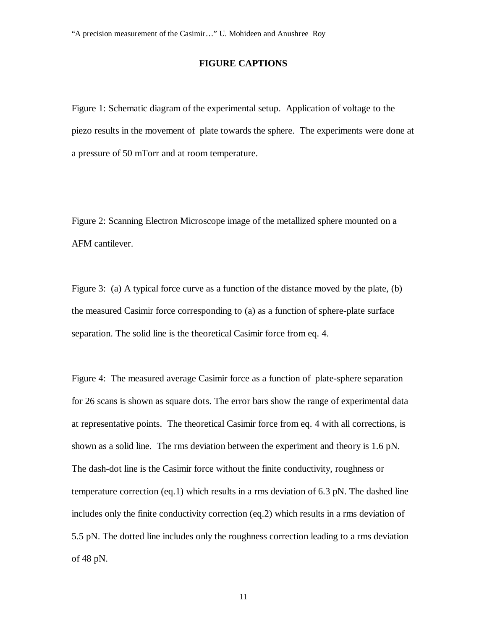## **FIGURE CAPTIONS**

Figure 1: Schematic diagram of the experimental setup. Application of voltage to the piezo results in the movement of plate towards the sphere. The experiments were done at a pressure of 50 mTorr and at room temperature.

Figure 2: Scanning Electron Microscope image of the metallized sphere mounted on a AFM cantilever.

Figure 3: (a) A typical force curve as a function of the distance moved by the plate, (b) the measured Casimir force corresponding to (a) as a function of sphere-plate surface separation. The solid line is the theoretical Casimir force from eq. 4.

Figure 4: The measured average Casimir force as a function of plate-sphere separation for 26 scans is shown as square dots. The error bars show the range of experimental data at representative points. The theoretical Casimir force from eq. 4 with all corrections, is shown as a solid line. The rms deviation between the experiment and theory is 1.6 pN. The dash-dot line is the Casimir force without the finite conductivity, roughness or temperature correction (eq.1) which results in a rms deviation of 6.3 pN. The dashed line includes only the finite conductivity correction (eq.2) which results in a rms deviation of 5.5 pN. The dotted line includes only the roughness correction leading to a rms deviation of 48 pN.